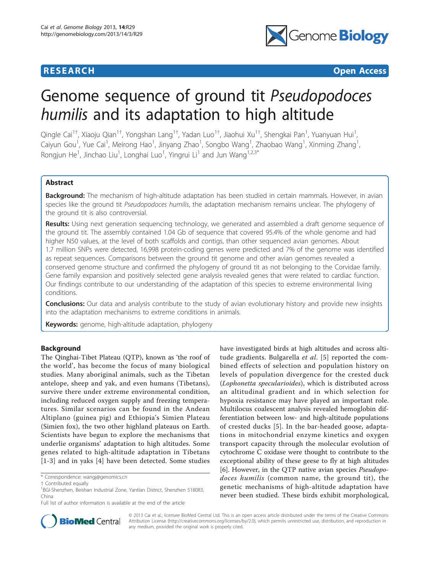

**RESEARCH CONSTRUCTION CONSTRUCTS** 

# Genome sequence of ground tit Pseudopodoces humilis and its adaptation to high altitude

Qingle Cai<sup>1†</sup>, Xiaoju Qian<sup>1†</sup>, Yongshan Lang<sup>1†</sup>, Yadan Luo<sup>1†</sup>, Jiaohui Xu<sup>1†</sup>, Shengkai Pan<sup>1</sup>, Yuanyuan Hui<sup>1</sup> , Caiyun Gou<sup>1</sup>, Yue Cai<sup>1</sup>, Meirong Hao<sup>1</sup>, Jinyang Zhao<sup>1</sup>, Songbo Wang<sup>1</sup>, Zhaobao Wang<sup>1</sup>, Xinming Zhang<sup>1</sup> , Rongjun He<sup>1</sup>, Jinchao Liu<sup>1</sup>, Longhai Luo<sup>1</sup>, Yingrui Li<sup>1</sup> and Jun Wang<sup>1,2,3\*</sup>

# Abstract

Background: The mechanism of high-altitude adaptation has been studied in certain mammals. However, in avian species like the ground tit Pseudopodoces humilis, the adaptation mechanism remains unclear. The phylogeny of the ground tit is also controversial.

Results: Using next generation sequencing technology, we generated and assembled a draft genome sequence of the ground tit. The assembly contained 1.04 Gb of sequence that covered 95.4% of the whole genome and had higher N50 values, at the level of both scaffolds and contigs, than other sequenced avian genomes. About 1.7 million SNPs were detected, 16,998 protein-coding genes were predicted and 7% of the genome was identified as repeat sequences. Comparisons between the ground tit genome and other avian genomes revealed a conserved genome structure and confirmed the phylogeny of ground tit as not belonging to the Corvidae family. Gene family expansion and positively selected gene analysis revealed genes that were related to cardiac function. Our findings contribute to our understanding of the adaptation of this species to extreme environmental living conditions.

**Conclusions:** Our data and analysis contribute to the study of avian evolutionary history and provide new insights into the adaptation mechanisms to extreme conditions in animals.

Keywords: genome, high-altitude adaptation, phylogeny

### Background

The Qinghai-Tibet Plateau (QTP), known as 'the roof of the world', has become the focus of many biological studies. Many aboriginal animals, such as the Tibetan antelope, sheep and yak, and even humans (Tibetans), survive there under extreme environmental condition, including reduced oxygen supply and freezing temperatures. Similar scenarios can be found in the Andean Altiplano (guinea pig) and Ethiopia's Simien Plateau (Simien fox), the two other highland plateaus on Earth. Scientists have begun to explore the mechanisms that underlie organisms' adaptation to high altitudes. Some genes related to high-altitude adaptation in Tibetans [[1](#page-10-0)-[3\]](#page-10-0) and in yaks [[4\]](#page-10-0) have been detected. Some studies

have investigated birds at high altitudes and across alti-tude gradients. Bulgarella et al. [\[5\]](#page-10-0) reported the combined effects of selection and population history on levels of population divergence for the crested duck (Lophonetta specularioides), which is distributed across an altitudinal gradient and in which selection for hypoxia resistance may have played an important role. Multilocus coalescent analysis revealed hemoglobin differentiation between low- and high-altitude populations of crested ducks [[5](#page-10-0)]. In the bar-headed goose, adaptations in mitochondrial enzyme kinetics and oxygen transport capacity through the molecular evolution of cytochrome C oxidase were thought to contribute to the exceptional ability of these geese to fly at high altitudes [[6\]](#page-10-0). However, in the QTP native avian species *Pseudopo*doces humilis (common name, the ground tit), the genetic mechanisms of high-altitude adaptation have never been studied. These birds exhibit morphological,



© 2013 Cai et al.; licensee BioMed Central Ltd. This is an open access article distributed under the terms of the Creative Commons Attribution License [\(http://creativecommons.org/licenses/by/2.0](http://creativecommons.org/licenses/by/2.0)), which permits unrestricted use, distribution, and reproduction in any medium, provided the original work is properly cited.

<sup>\*</sup> Correspondence: [wangj@genomics.cn](mailto:wangj@genomics.cn)

<sup>†</sup> Contributed equally <sup>1</sup>

BGI-Shenzhen, Beishan Industrial Zone, Yantian District, Shenzhen 518083, China

Full list of author information is available at the end of the article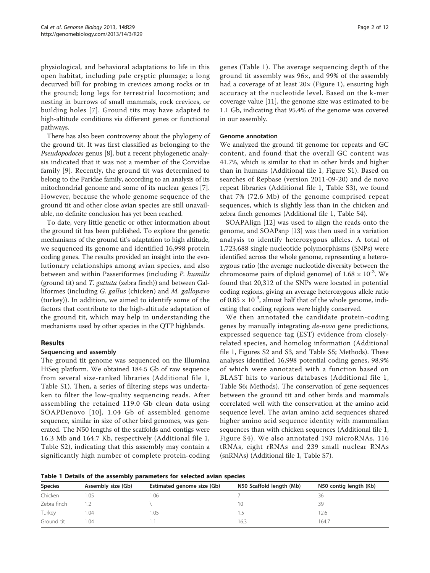physiological, and behavioral adaptations to life in this open habitat, including pale cryptic plumage; a long decurved bill for probing in crevices among rocks or in the ground; long legs for terrestrial locomotion; and nesting in burrows of small mammals, rock crevices, or building holes [[7](#page-10-0)]. Ground tits may have adapted to high-altitude conditions via different genes or functional pathways.

There has also been controversy about the phylogeny of the ground tit. It was first classified as belonging to the Pseudopodoces genus [[8\]](#page-10-0), but a recent phylogenetic analysis indicated that it was not a member of the Corvidae family [[9](#page-10-0)]. Recently, the ground tit was determined to belong to the Paridae family, according to an analysis of its mitochondrial genome and some of its nuclear genes [\[7](#page-10-0)]. However, because the whole genome sequence of the ground tit and other close avian species are still unavailable, no definite conclusion has yet been reached.

To date, very little genetic or other information about the ground tit has been published. To explore the genetic mechanisms of the ground tit's adaptation to high altitude, we sequenced its genome and identified 16,998 protein coding genes. The results provided an insight into the evolutionary relationships among avian species, and also between and within Passeriformes (including P. humilis (ground tit) and T. guttata (zebra finch)) and between Galliformes (including G. gallus (chicken) and M. gallopavo (turkey)). In addition, we aimed to identify some of the factors that contribute to the high-altitude adaptation of the ground tit, which may help in understanding the mechanisms used by other species in the QTP highlands.

### Results

#### Sequencing and assembly

The ground tit genome was sequenced on the Illumina HiSeq platform. We obtained 184.5 Gb of raw sequence from several size-ranked libraries (Additional file [1](#page-9-0), Table S1). Then, a series of filtering steps was undertaken to filter the low-quality sequencing reads. After assembling the retained 119.0 Gb clean data using SOAPDenovo [[10\]](#page-10-0), 1.04 Gb of assembled genome sequence, similar in size of other bird genomes, was generated. The N50 lengths of the scaffolds and contigs were 16.3 Mb and 164.7 Kb, respectively (Additional file [1](#page-9-0), Table S2), indicating that this assembly may contain a significantly high number of complete protein-coding

genes (Table 1). The average sequencing depth of the ground tit assembly was 96×, and 99% of the assembly had a coverage of at least 20× (Figure [1\)](#page-2-0), ensuring high accuracy at the nucleotide level. Based on the k-mer coverage value [[11\]](#page-10-0), the genome size was estimated to be 1.1 Gb, indicating that 95.4% of the genome was covered in our assembly.

#### Genome annotation

We analyzed the ground tit genome for repeats and GC content, and found that the overall GC content was 41.7%, which is similar to that in other birds and higher than in humans (Additional file [1](#page-9-0), Figure S1). Based on searches of Repbase (version 2011-09-20) and de novo repeat libraries (Additional file [1](#page-9-0), Table S3), we found that 7% (72.6 Mb) of the genome comprised repeat sequences, which is slightly less than in the chicken and zebra finch genomes (Additional file [1](#page-9-0), Table S4).

SOAPAlign [[12](#page-10-0)] was used to align the reads onto the genome, and SOAPsnp [\[13](#page-10-0)] was then used in a variation analysis to identify heterozygous alleles. A total of 1,723,688 single nucleotide polymorphisms (SNPs) were identified across the whole genome, representing a heterozygous ratio (the average nucleotide diversity between the chromosome pairs of diploid genome) of  $1.68 \times 10^{-3}$ . We found that 20,312 of the SNPs were located in potential coding regions, giving an average heterozygous allele ratio of  $0.85 \times 10^{-3}$ , almost half that of the whole genome, indicating that coding regions were highly conserved.

We then annotated the candidate protein-coding genes by manually integrating de-novo gene predictions, expressed sequence tag (EST) evidence from closelyrelated species, and homolog information (Additional file [1](#page-9-0), Figures S2 and S3, and Table S5; Methods). These analyses identified 16,998 potential coding genes, 98.9% of which were annotated with a function based on BLAST hits to various databases (Additional file [1](#page-9-0), Table S6; Methods). The conservation of gene sequences between the ground tit and other birds and mammals correlated well with the conservation at the amino acid sequence level. The avian amino acid sequences shared higher amino acid sequence identity with mammalian sequences than with chicken sequences (Additional file [1](#page-9-0), Figure S4). We also annotated 193 microRNAs, 116 tRNAs, eight rRNAs and 239 small nuclear RNAs (snRNAs) (Additional file [1,](#page-9-0) Table S7).

Table 1 Details of the assembly parameters for selected avian species

| <u>, and , a stanistic of this appointment parameters for services after species</u> |                            |                          |                        |  |  |
|--------------------------------------------------------------------------------------|----------------------------|--------------------------|------------------------|--|--|
| Assembly size (Gb)                                                                   | Estimated genome size (Gb) | N50 Scaffold length (Mb) | N50 contig length (Kb) |  |  |
| .05                                                                                  | 1.06                       |                          | 36                     |  |  |
|                                                                                      |                            |                          | 39                     |  |  |
| .04                                                                                  | 1.05                       |                          | 12.6                   |  |  |
| .04                                                                                  |                            | 16.3                     | 164.7                  |  |  |
|                                                                                      |                            |                          |                        |  |  |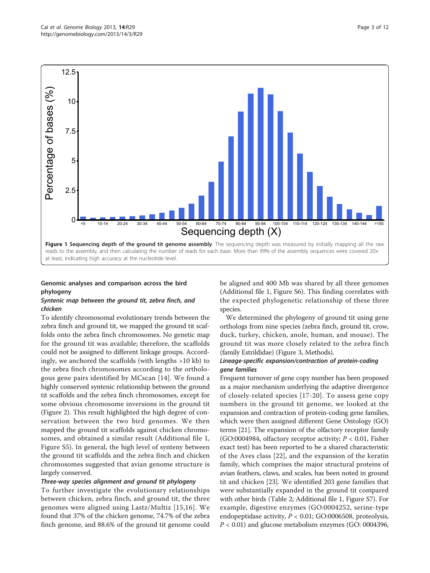<span id="page-2-0"></span>

## Genomic analyses and comparison across the bird phylogeny

### Syntenic map between the ground tit, zebra finch, and chicken

To identify chromosomal evolutionary trends between the zebra finch and ground tit, we mapped the ground tit scaffolds onto the zebra finch chromosomes. No genetic map for the ground tit was available; therefore, the scaffolds could not be assigned to different linkage groups. Accordingly, we anchored the scaffolds (with lengths >10 kb) to the zebra finch chromosomes according to the orthologous gene pairs identified by MCscan [[14](#page-10-0)]. We found a highly conserved syntenic relationship between the ground tit scaffolds and the zebra finch chromosomes, except for some obvious chromosome inversions in the ground tit (Figure [2](#page-3-0)). This result highlighted the high degree of conservation between the two bird genomes. We then mapped the ground tit scaffolds against chicken chromosomes, and obtained a similar result (Additional file [1](#page-9-0), Figure S5). In general, the high level of synteny between the ground tit scaffolds and the zebra finch and chicken chromosomes suggested that avian genome structure is largely conserved.

### Three-way species alignment and ground tit phylogeny

To further investigate the evolutionary relationships between chicken, zebra finch, and ground tit, the three genomes were aligned using Lastz/Multiz [[15](#page-10-0),[16\]](#page-10-0). We found that 37% of the chicken genome, 74.7% of the zebra finch genome, and 88.6% of the ground tit genome could be aligned and 400 Mb was shared by all three genomes (Additional file [1,](#page-9-0) Figure S6). This finding correlates with the expected phylogenetic relationship of these three species.

We determined the phylogeny of ground tit using gene orthologs from nine species (zebra finch, ground tit, crow, duck, turkey, chicken, anole, human, and mouse). The ground tit was more closely related to the zebra finch (family Estrildidae) (Figure [3,](#page-4-0) Methods).

# Lineage-specific expansion/contraction of protein-coding gene families

Frequent turnover of gene copy number has been proposed as a major mechanism underlying the adaptive divergence of closely-related species [[17-20](#page-10-0)]. To assess gene copy numbers in the ground tit genome, we looked at the expansion and contraction of protein-coding gene families, which were then assigned different Gene Ontology (GO) terms [[21](#page-10-0)]. The expansion of the olfactory receptor family (GO:0004984, olfactory receptor activity;  $P < 0.01$ , Fisher exact test) has been reported to be a shared characteristic of the Aves class [[22](#page-10-0)], and the expansion of the keratin family, which comprises the major structural proteins of avian feathers, claws, and scales, has been noted in ground tit and chicken [\[23\]](#page-10-0). We identified 203 gene families that were substantially expanded in the ground tit compared with other birds (Table [2;](#page-5-0) Additional file [1](#page-9-0), Figure S7). For example, digestive enzymes (GO:0004252, serine-type endopeptidase activity,  $P < 0.01$ ; GO:0006508, proteolysis,  $P < 0.01$ ) and glucose metabolism enzymes (GO: 0004396,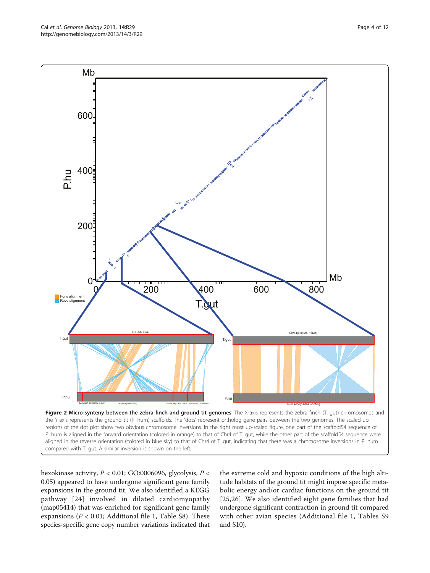<span id="page-3-0"></span>

hexokinase activity,  $P < 0.01$ ; GO:0006096, glycolysis,  $P <$ 0.05) appeared to have undergone significant gene family expansions in the ground tit. We also identified a KEGG pathway [[24\]](#page-10-0) involved in dilated cardiomyopathy (map05414) that was enriched for significant gene family expansions ( $P < 0.01$ ; Additional file [1,](#page-9-0) Table S8). These species-specific gene copy number variations indicated that

the extreme cold and hypoxic conditions of the high altitude habitats of the ground tit might impose specific metabolic energy and/or cardiac functions on the ground tit [[25](#page-10-0),[26\]](#page-10-0). We also identified eight gene families that had undergone significant contraction in ground tit compared with other avian species (Additional file [1](#page-9-0), Tables S9 and S10).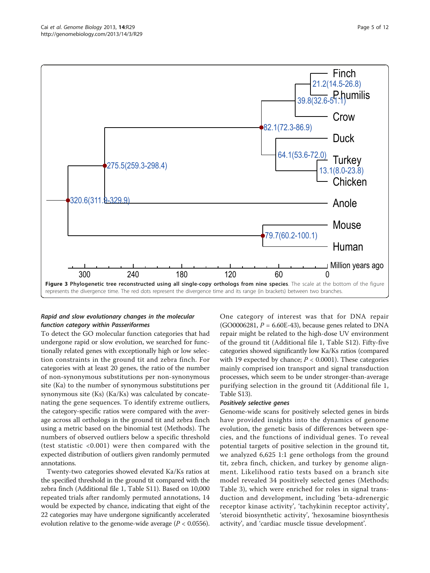<span id="page-4-0"></span>

# Rapid and slow evolutionary changes in the molecular function category within Passeriformes

To detect the GO molecular function categories that had undergone rapid or slow evolution, we searched for functionally related genes with exceptionally high or low selection constraints in the ground tit and zebra finch. For categories with at least 20 genes, the ratio of the number of non-synonymous substitutions per non-synonymous site (Ka) to the number of synonymous substitutions per synonymous site (Ks) (Ka/Ks) was calculated by concatenating the gene sequences. To identify extreme outliers, the category-specific ratios were compared with the average across all orthologs in the ground tit and zebra finch using a metric based on the binomial test (Methods). The numbers of observed outliers below a specific threshold (test statistic <0.001) were then compared with the expected distribution of outliers given randomly permuted annotations.

Twenty-two categories showed elevated Ka/Ks ratios at the specified threshold in the ground tit compared with the zebra finch (Additional file [1](#page-9-0), Table S11). Based on 10,000 repeated trials after randomly permuted annotations, 14 would be expected by chance, indicating that eight of the 22 categories may have undergone significantly accelerated evolution relative to the genome-wide average ( $P < 0.0556$ ).

One category of interest was that for DNA repair (GO0006281,  $P = 6.60E-43$ ), because genes related to DNA repair might be related to the high-dose UV environment of the ground tit (Additional file [1](#page-9-0), Table S12). Fifty-five categories showed significantly low Ka/Ks ratios (compared with 19 expected by chance;  $P < 0.0001$ ). These categories mainly comprised ion transport and signal transduction processes, which seem to be under stronger-than-average purifying selection in the ground tit (Additional file [1](#page-9-0), Table S13).

#### Positively selective genes

Genome-wide scans for positively selected genes in birds have provided insights into the dynamics of genome evolution, the genetic basis of differences between species, and the functions of individual genes. To reveal potential targets of positive selection in the ground tit, we analyzed 6,625 1:1 gene orthologs from the ground tit, zebra finch, chicken, and turkey by genome alignment. Likelihood ratio tests based on a branch site model revealed 34 positively selected genes (Methods; Table [3\)](#page-6-0), which were enriched for roles in signal transduction and development, including 'beta-adrenergic receptor kinase activity', 'tachykinin receptor activity', 'steroid biosynthetic activity', 'hexosamine biosynthesis activity', and 'cardiac muscle tissue development'.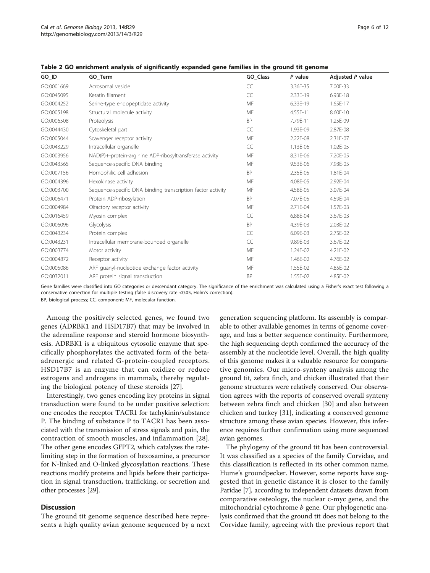| GO ID      | GO Term                                                     | GO Class  | P value  | Adjusted P value |
|------------|-------------------------------------------------------------|-----------|----------|------------------|
| GO:0001669 | Acrosomal vesicle                                           | CC        | 3.36E-35 | 7.00E-33         |
| GO:0045095 | Keratin filament                                            | CC        | 2.33E-19 | 6.93E-18         |
| GO:0004252 | Serine-type endopeptidase activity                          | MF        | 6.33E-19 | 1.65E-17         |
| GO:0005198 | Structural molecule activity                                | MF        | 4.55E-11 | 8.60E-10         |
| GO:0006508 | Proteolysis                                                 | <b>BP</b> | 7.79E-11 | 1.25E-09         |
| GO:0044430 | Cytoskeletal part                                           | CC        | 1.93E-09 | 2.87E-08         |
| GO:0005044 | Scavenger receptor activity                                 | MF        | 2.22E-08 | 2.31E-07         |
| GO:0043229 | Intracellular organelle                                     | CC        | 1.13E-06 | 1.02E-05         |
| GO:0003956 | NAD(P)+-protein-arginine ADP-ribosyltransferase activity    | MF        | 8.31E-06 | 7.20E-05         |
| GO:0043565 | Sequence-specific DNA binding                               | MF        | 9.53E-06 | 7.93E-05         |
| GO:0007156 | Homophilic cell adhesion                                    | <b>BP</b> | 2.35E-05 | 1.81E-04         |
| GO:0004396 | Hexokinase activity                                         | MF        | 4.08E-05 | 2.92E-04         |
| GO:0003700 | Sequence-specific DNA binding transcription factor activity | MF        | 4.58E-05 | 3.07E-04         |
| GO:0006471 | Protein ADP-ribosylation                                    | <b>BP</b> | 7.07E-05 | 4.59E-04         |
| GO:0004984 | Olfactory receptor activity                                 | MF        | 2.71E-04 | 1.57E-03         |
| GO:0016459 | Myosin complex                                              | CC        | 6.88E-04 | 3.67E-03         |
| GO:0006096 | Glycolysis                                                  | <b>BP</b> | 4.39E-03 | 2.03E-02         |
| GO:0043234 | Protein complex                                             | CC        | 6.09E-03 | 2.75E-02         |
| GO:0043231 | Intracellular membrane-bounded organelle                    | CC        | 9.89E-03 | 3.67E-02         |
| GO:0003774 | Motor activity                                              | MF        | 1.24E-02 | 4.21E-02         |
| GO:0004872 | Receptor activity                                           | MF        | 1.46E-02 | 4.76E-02         |
| GO:0005086 | ARF quanyl-nucleotide exchange factor activity              | MF        | 1.55E-02 | 4.85E-02         |
| GO:0032011 | ARF protein signal transduction                             | <b>BP</b> | 1.55E-02 | 4.85E-02         |

<span id="page-5-0"></span>Table 2 GO enrichment analysis of significantly expanded gene families in the ground tit genome

Gene families were classified into GO categories or descendant category. The significance of the enrichment was calculated using a Fisher's exact test following a conservative correction for multiple testing (false discovery rate <0.05, Holm's correction).

BP, biological process; CC, component; MF, molecular function.

Among the positively selected genes, we found two genes (ADRBK1 and HSD17B7) that may be involved in the adrenaline response and steroid hormone biosynthesis. ADRBK1 is a ubiquitous cytosolic enzyme that specifically phosphorylates the activated form of the betaadrenergic and related G-protein-coupled receptors. HSD17B7 is an enzyme that can oxidize or reduce estrogens and androgens in mammals, thereby regulating the biological potency of these steroids [\[27](#page-10-0)].

Interestingly, two genes encoding key proteins in signal transduction were found to be under positive selection: one encodes the receptor TACR1 for tachykinin/substance P. The binding of substance P to TACR1 has been associated with the transmission of stress signals and pain, the contraction of smooth muscles, and inflammation [[28\]](#page-10-0). The other gene encodes GFPT2, which catalyzes the ratelimiting step in the formation of hexosamine, a precursor for N-linked and O-linked glycosylation reactions. These reactions modify proteins and lipids before their participation in signal transduction, trafficking, or secretion and other processes [[29](#page-10-0)].

#### **Discussion**

The ground tit genome sequence described here represents a high quality avian genome sequenced by a next

generation sequencing platform. Its assembly is comparable to other available genomes in terms of genome coverage, and has a better sequence continuity. Furthermore, the high sequencing depth confirmed the accuracy of the assembly at the nucleotide level. Overall, the high quality of this genome makes it a valuable resource for comparative genomics. Our micro-synteny analysis among the ground tit, zebra finch, and chicken illustrated that their genome structures were relatively conserved. Our observation agrees with the reports of conserved overall synteny between zebra finch and chicken [[30\]](#page-10-0) and also between chicken and turkey [[31\]](#page-10-0), indicating a conserved genome structure among these avian species. However, this inference requires further confirmation using more sequenced avian genomes.

The phylogeny of the ground tit has been controversial. It was classified as a species of the family Corvidae, and this classification is reflected in its other common name, Hume's groundpecker. However, some reports have suggested that in genetic distance it is closer to the family Paridae [[7\]](#page-10-0), according to independent datasets drawn from comparative osteology, the nuclear c-myc gene, and the mitochondrial cytochrome b gene. Our phylogenetic analysis confirmed that the ground tit does not belong to the Corvidae family, agreeing with the previous report that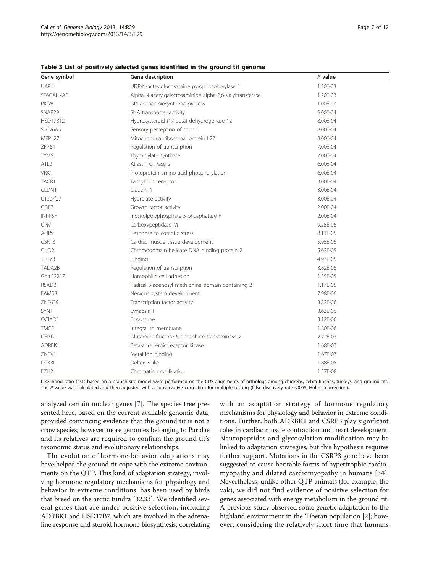| Gene symbol       | Gene description                                          | P value  |
|-------------------|-----------------------------------------------------------|----------|
| UAP1              | UDP-N-acteylglucosamine pyrophosphorylase 1               | 1.30E-03 |
| ST6GALNAC1        | Alpha-N-acetylgalactosaminide alpha-2,6-sialyltransferase | 1.20E-03 |
| PIGW              | GPI anchor biosynthetic process                           | 1.00E-03 |
| SNAP29            | SNA transporter activity                                  | 9.00E-04 |
| <b>HSD17B12</b>   | Hydroxysteroid (17-beta) dehydrogenase 12                 | 8.00E-04 |
| SLC26A5           | Sensory perception of sound                               | 8.00E-04 |
| MRPL27            | Mitochondrial ribosomal protein L27                       | 8.00E-04 |
| ZFP64             | Regulation of transcription                               | 7.00E-04 |
| <b>TYMS</b>       | Thymidylate synthase                                      | 7.00E-04 |
| ATL <sub>2</sub>  | Atlastin GTPase 2                                         | 6.00E-04 |
| VRK1              | Protoprotein amino acid phosphorylation                   | 6.00E-04 |
| TACR1             | Tachykinin receptor 1                                     | 3.00E-04 |
| CLDN1             | Claudin 1                                                 | 3.00E-04 |
| C13orf27          | Hydrolase activity                                        | 3.00E-04 |
| GDF7              | Growth factor activity                                    | 2.00E-04 |
| INPP5F            | Inositolpolyphosphate-5-phosphatase F                     | 2.00E-04 |
| <b>CPM</b>        | Carboxypeptidase M                                        | 9.25E-05 |
| AQP9              | Response to osmotic stress                                | 8.11E-05 |
| CSRP3             | Cardiac muscle tissue development                         | 5.95E-05 |
| CHD <sub>2</sub>  | Chromodomain helicase DNA binding protein 2               | 5.62E-05 |
| TTC7B             | Binding                                                   | 4.93E-05 |
| TADA2B            | Regulation of transcription                               | 3.82E-05 |
| Gga.52217         | Homophilic cell adhesion                                  | 1.55E-05 |
| RSAD <sub>2</sub> | Radical S-adenosyl methionine domain containing 2         | 1.17E-05 |
| FAM5B             | Nervous system development                                | 7.98E-06 |
| <b>ZNF639</b>     | Transcription factor activity                             | 3.82E-06 |
| SYN1              | Synapsin I                                                | 3.63E-06 |
| OCIAD1            | Endosome                                                  | 3.12E-06 |
| TMC5              | Integral to membrane                                      | 1.80E-06 |
| GFPT2             | Glutamine-fructose-6-phosphate transaminase 2             | 2.22E-07 |
| ADRBK1            | Beta-adrenergic receptor kinase 1                         | 1.68E-07 |
| ZNFX1             | Metal ion binding                                         | 1.67E-07 |
| DTX3L             | Deltex 3-like                                             | 1.88E-08 |
| EZH <sub>2</sub>  | Chromatin modification                                    | 1.57E-08 |

<span id="page-6-0"></span>Table 3 List of positively selected genes identified in the ground tit genome

Likelihood ratio tests based on a branch site model were performed on the CDS alignments of orthologs among chickens, zebra finches, turkeys, and ground tits. The P value was calculated and then adjusted with a conservative correction for multiple testing (false discovery rate <0.05, Holm's correction).

analyzed certain nuclear genes [[7\]](#page-10-0). The species tree presented here, based on the current available genomic data, provided convincing evidence that the ground tit is not a crow species; however more genomes belonging to Paridae and its relatives are required to confirm the ground tit's taxonomic status and evolutionary relationships.

The evolution of hormone-behavior adaptations may have helped the ground tit cope with the extreme environments on the QTP. This kind of adaptation strategy, involving hormone regulatory mechanisms for physiology and behavior in extreme conditions, has been used by birds that breed on the arctic tundra [\[32,33\]](#page-10-0). We identified several genes that are under positive selection, including ADRBK1 and HSD17B7, which are involved in the adrenaline response and steroid hormone biosynthesis, correlating

with an adaptation strategy of hormone regulatory mechanisms for physiology and behavior in extreme conditions. Further, both ADRBK1 and CSRP3 play significant roles in cardiac muscle contraction and heart development. Neuropeptides and glycosylation modification may be linked to adaptation strategies, but this hypothesis requires further support. Mutations in the CSRP3 gene have been suggested to cause heritable forms of hypertrophic cardiomyopathy and dilated cardiomyopathy in humans [[34](#page-10-0)]. Nevertheless, unlike other QTP animals (for example, the yak), we did not find evidence of positive selection for genes associated with energy metabolism in the ground tit. A previous study observed some genetic adaptation to the highland environment in the Tibetan population [\[2](#page-10-0)]; however, considering the relatively short time that humans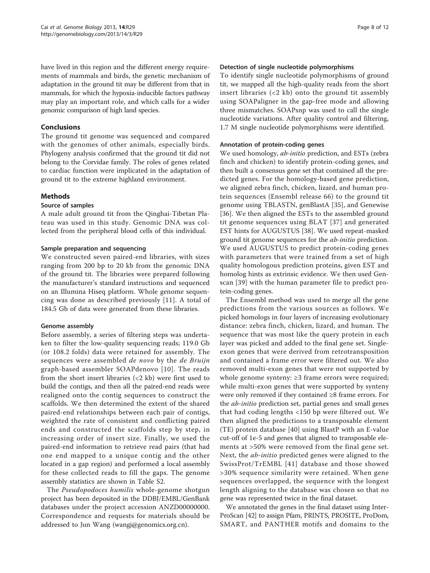have lived in this region and the different energy requirements of mammals and birds, the genetic mechanism of adaptation in the ground tit may be different from that in mammals, for which the hypoxia-inducible factors pathway may play an important role, and which calls for a wider genomic comparison of high land species.

# Conclusions

The ground tit genome was sequenced and compared with the genomes of other animals, especially birds. Phylogeny analysis confirmed that the ground tit did not belong to the Corvidae family. The roles of genes related to cardiac function were implicated in the adaptation of ground tit to the extreme highland environment.

# Methods

# Source of samples

A male adult ground tit from the Qinghai-Tibetan Plateau was used in this study. Genomic DNA was collected from the peripheral blood cells of this individual.

### Sample preparation and sequencing

We constructed seven paired-end libraries, with sizes ranging from 200 bp to 20 kb from the genomic DNA of the ground tit. The libraries were prepared following the manufacturer's standard instructions and sequenced on an Illumina Hiseq platform. Whole genome sequencing was done as described previously [[11](#page-10-0)]. A total of 184.5 Gb of data were generated from these libraries.

### Genome assembly

Before assembly, a series of filtering steps was undertaken to filter the low-quality sequencing reads; 119.0 Gb (or 108.2 folds) data were retained for assembly. The sequences were assembled de novo by the de Bruijn graph-based assembler SOAPdenovo [[10](#page-10-0)]. The reads from the short insert libraries (<2 kb) were first used to build the contigs, and then all the paired-end reads were realigned onto the contig sequences to construct the scaffolds. We then determined the extent of the shared paired-end relationships between each pair of contigs, weighted the rate of consistent and conflicting paired ends and constructed the scaffolds step by step, in increasing order of insert size. Finally, we used the paired-end information to retrieve read pairs (that had one end mapped to a unique contig and the other located in a gap region) and performed a local assembly for these collected reads to fill the gaps. The genome assembly statistics are shown in Table S2.

The Pseudopodoces humilis whole-genome shotgun project has been deposited in the DDBJ/EMBL/GenBank databases under the project accession ANZD00000000. Correspondence and requests for materials should be addressed to Jun Wang (wangj@genomics.org.cn).

#### Detection of single nucleotide polymorphisms

To identify single nucleotide polymorphisms of ground tit, we mapped all the high-quality reads from the short insert libraries  $(2 \lt b)$  onto the ground tit assembly using SOAPaligner in the gap-free mode and allowing three mismatches. SOAPsnp was used to call the single nucleotide variations. After quality control and filtering, 1.7 M single nucleotide polymorphisms were identified.

#### Annotation of protein-coding genes

We used homology, ab-initio prediction, and ESTs (zebra finch and chicken) to identify protein-coding genes, and then built a consensus gene set that contained all the predicted genes. For the homology-based gene prediction, we aligned zebra finch, chicken, lizard, and human protein sequences (Ensembl release 66) to the ground tit genome using TBLASTN, genBlastA [[35\]](#page-10-0), and Genewise [[36\]](#page-10-0). We then aligned the ESTs to the assembled ground tit genome sequences using BLAT [\[37\]](#page-10-0) and generated EST hints for AUGUSTUS [\[38](#page-10-0)]. We used repeat-masked ground tit genome sequences for the *ab-initio* prediction. We used AUGUSTUS to predict protein-coding genes with parameters that were trained from a set of high quality homologous prediction proteins, given EST and homolog hints as extrinsic evidence. We then used Genscan [\[39\]](#page-10-0) with the human parameter file to predict protein-coding genes.

The Ensembl method was used to merge all the gene predictions from the various sources as follows. We picked homologs in four layers of increasing evolutionary distance: zebra finch, chicken, lizard, and human. The sequence that was most like the query protein in each layer was picked and added to the final gene set. Singleexon genes that were derived from retrotransposition and contained a frame error were filtered out. We also removed multi-exon genes that were not supported by whole genome synteny: ≥3 frame errors were required; while multi-exon genes that were supported by synteny were only removed if they contained ≥8 frame errors. For the ab-initio prediction set, partial genes and small genes that had coding lengths <150 bp were filtered out. We then aligned the predictions to a transposable element (TE) protein database [\[40](#page-10-0)] using BlastP with an E-value cut-off of 1e-5 and genes that aligned to transposable elements at >50% were removed from the final gene set. Next, the ab-initio predicted genes were aligned to the SwissProt/TrEMBL [[41](#page-10-0)] database and those showed >30% sequence similarity were retained. When gene sequences overlapped, the sequence with the longest length aligning to the database was chosen so that no gene was represented twice in the final dataset.

We annotated the genes in the final dataset using Inter-ProScan [\[42\]](#page-10-0) to assign Pfam, PRINTS, PROSITE, ProDom, SMART, and PANTHER motifs and domains to the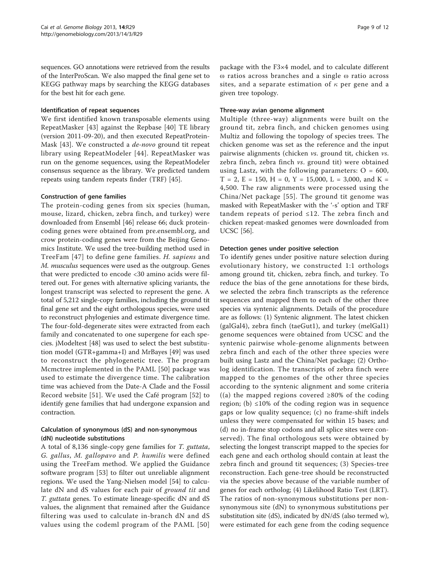sequences. GO annotations were retrieved from the results of the InterProScan. We also mapped the final gene set to KEGG pathway maps by searching the KEGG databases for the best hit for each gene.

#### Identification of repeat sequences

We first identified known transposable elements using RepeatMasker [[43](#page-10-0)] against the Repbase [[40\]](#page-10-0) TE library (version 2011-09-20), and then executed RepeatProtein-Mask [[43\]](#page-10-0). We constructed a de-novo ground tit repeat library using RepeatModeler [\[44\]](#page-10-0). RepeatMasker was run on the genome sequences, using the RepeatModeler consensus sequence as the library. We predicted tandem repeats using tandem repeats finder (TRF) [\[45](#page-10-0)].

### Construction of gene families

The protein-coding genes from six species (human, mouse, lizard, chicken, zebra finch, and turkey) were downloaded from Ensembl [\[46\]](#page-10-0) release 66; duck proteincoding genes were obtained from pre.ensembl.org, and crow protein-coding genes were from the Beijing Genomics Institute. We used the tree-building method used in TreeFam [[47](#page-10-0)] to define gene families. H. sapiens and M. musculus sequences were used as the outgroup. Genes that were predicted to encode <30 amino acids were filtered out. For genes with alternative splicing variants, the longest transcript was selected to represent the gene. A total of 5,212 single-copy families, including the ground tit final gene set and the eight orthologous species, were used to reconstruct phylogenies and estimate divergence time. The four-fold-degenerate sites were extracted from each family and concatenated to one supergene for each species. jModeltest [[48\]](#page-11-0) was used to select the best substitution model (GTR+gamma+I) and MrBayes [[49\]](#page-11-0) was used to reconstruct the phylogenetic tree. The program Mcmctree implemented in the PAML [\[50](#page-11-0)] package was used to estimate the divergence time. The calibration time was achieved from the Date-A Clade and the Fossil Record website [[51\]](#page-11-0). We used the Café program [[52\]](#page-11-0) to identify gene families that had undergone expansion and contraction.

# Calculation of synonymous (dS) and non-synonymous (dN) nucleotide substitutions

A total of 8,136 single-copy gene families for T. guttata, G. gallus, M. gallopavo and P. humilis were defined using the TreeFam method. We applied the Guidance software program [[53\]](#page-11-0) to filter out unreliable alignment regions. We used the Yang-Nielsen model [[54\]](#page-11-0) to calculate dN and dS values for each pair of *ground tit* and T. guttata genes. To estimate lineage-specific dN and dS values, the alignment that remained after the Guidance filtering was used to calculate in-branch dN and dS values using the codeml program of the PAML [[50](#page-11-0)] package with the F3×4 model, and to calculate different ω ratios across branches and a single ω ratio across sites, and a separate estimation of  $\kappa$  per gene and a given tree topology.

#### Three-way avian genome alignment

Multiple (three-way) alignments were built on the ground tit, zebra finch, and chicken genomes using Multiz and following the topology of species trees. The chicken genome was set as the reference and the input pairwise alignments (chicken vs. ground tit, chicken vs. zebra finch, zebra finch vs. ground tit) were obtained using Lastz, with the following parameters:  $O = 600$ ,  $T = 2$ ,  $E = 150$ ,  $H = 0$ ,  $Y = 15,000$ ,  $L = 3,000$ , and  $K =$ 4,500. The raw alignments were processed using the China/Net package [[55](#page-11-0)]. The ground tit genome was masked with RepeatMasker with the '-s' option and TRF tandem repeats of period ≤12. The zebra finch and chicken repeat-masked genomes were downloaded from UCSC [\[56](#page-11-0)].

### Detection genes under positive selection

To identify genes under positive nature selection during evolutionary history, we constructed 1:1 orthologs among ground tit, chicken, zebra finch, and turkey. To reduce the bias of the gene annotations for these birds, we selected the zebra finch transcripts as the reference sequences and mapped them to each of the other three species via syntenic alignments. Details of the procedure are as follows: (1) Syntenic alignment. The latest chicken (galGal4), zebra finch (taeGut1), and turkey (melGal1) genome sequences were obtained from UCSC and the syntenic pairwise whole-genome alignments between zebra finch and each of the other three species were built using Lastz and the China/Net package; (2) Ortholog identification. The transcripts of zebra finch were mapped to the genomes of the other three species according to the syntenic alignment and some criteria ((a) the mapped regions covered ≥80% of the coding region; (b)  $\leq 10\%$  of the coding region was in sequence gaps or low quality sequence; (c) no frame-shift indels unless they were compensated for within 15 bases; and (d) no in-frame stop codons and all splice sites were conserved). The final orthologous sets were obtained by selecting the longest transcript mapped to the species for each gene and each ortholog should contain at least the zebra finch and ground tit sequences; (3) Species-tree reconstruction. Each gene-tree should be reconstructed via the species above because of the variable number of genes for each ortholog; (4) Likelihood Ratio Test (LRT). The ratios of non-synonymous substitutions per nonsynonymous site (dN) to synonymous substitutions per substitution site (dS), indicated by dN/dS (also termed w), were estimated for each gene from the coding sequence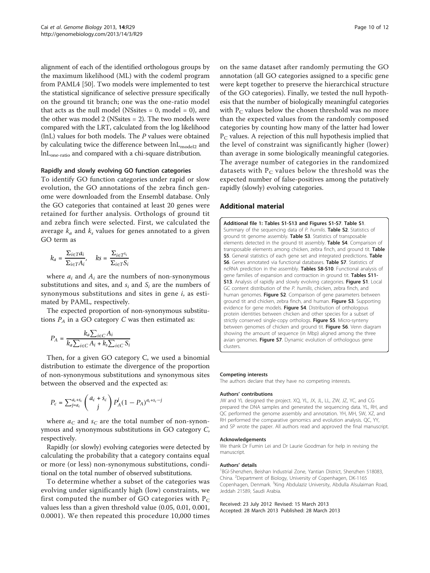<span id="page-9-0"></span>alignment of each of the identified orthologous groups by the maximum likelihood (ML) with the codeml program from PAML4 [[50](#page-11-0)]. Two models were implemented to test the statistical significance of selective pressure specifically on the ground tit branch; one was the one-ratio model that acts as the null model (NSsites  $= 0$ , model  $= 0$ ), and the other was model 2 (NSsites = 2). The two models were compared with the LRT, calculated from the log likelihood (lnL) values for both models. The P values were obtained by calculating twice the difference between  $lnL_{model2}$  and lnLone-ratio and compared with a chi-square distribution.

#### Rapidly and slowly evolving GO function categories

To identify GO function categories under rapid or slow evolution, the GO annotations of the zebra finch genome were downloaded from the Ensembl database. Only the GO categories that contained at least 20 genes were retained for further analysis. Orthologs of ground tit and zebra finch were selected. First, we calculated the average  $k_a$  and  $k_s$  values for genes annotated to a given GO term as

$$
k_a = \frac{\Sigma_{i \in T} a_i}{\Sigma_{i \in T} A_i}, \quad ks = \frac{\Sigma_{i \in T^{S_i}}}{\Sigma_{i \in T} S_i}
$$

where  $a_i$  and  $A_i$  are the numbers of non-synonymous substitutions and sites, and  $s_i$  and  $S_i$  are the numbers of synonymous substitutions and sites in gene  $i$ , as estimated by PAML, respectively.

The expected proportion of non-synonymous substitutions  $P_A$  in a GO category C was then estimated as:

$$
P_A = \frac{k_a \sum_{i \in C} A_i}{k_a \sum_{i \in C} A_i + k_s \sum_{i \in C} S_i}
$$

Then, for a given GO category C, we used a binomial distribution to estimate the divergence of the proportion of non-synonymous substitutions and synonymous sites between the observed and the expected as:

$$
P_c = \sum_{j=a_c}^{a_c+s_c} \binom{a_c+s_c}{j} P_A^j (1-P_A)^{a_c+s_c-j}
$$

where  $a<sub>C</sub>$  and  $s<sub>C</sub>$  are the total number of non-synonymous and synonymous substitutions in GO category C, respectively.

Rapidly (or slowly) evolving categories were detected by calculating the probability that a category contains equal or more (or less) non-synonymous substitutions, conditional on the total number of observed substitutions.

To determine whether a subset of the categories was evolving under significantly high (low) constraints, we first computed the number of GO categories with  $P_C$ values less than a given threshold value (0.05, 0.01, 0.001, 0.0001). We then repeated this procedure 10,000 times

on the same dataset after randomly permuting the GO annotation (all GO categories assigned to a specific gene were kept together to preserve the hierarchical structure of the GO categories). Finally, we tested the null hypothesis that the number of biologically meaningful categories with  $P_C$  values below the chosen threshold was no more than the expected values from the randomly composed categories by counting how many of the latter had lower  $P<sub>C</sub>$  values. A rejection of this null hypothesis implied that the level of constraint was significantly higher (lower) than average in some biologically meaningful categories. The average number of categories in the randomized datasets with  $P_C$  values below the threshold was the expected number of false-positives among the putatively rapidly (slowly) evolving categories.

## Additional material

[Additional file 1: T](http://www.biomedcentral.com/content/supplementary/gb-2013-14-3-r29-S1.???)ables S1-S13 and Figures S1-S7. Table S1. Summary of the sequencing data of P. humilis. Table S2. Statistics of ground tit genome assembly. Table S3. Statistics of transposable elements detected in the ground tit assembly. Table S4. Comparison of transposable elements among chicken, zebra finch, and ground tit. Table S5. General statistics of each gene set and integrated predictions. Table S6. Genes annotated via functional databases. Table S7. Statistics of ncRNA prediction in the assembly. Tables S8-S10. Functional analysis of gene families of expansion and contraction in ground tit. Tables \$11-S13. Analysis of rapidly and slowly evolving categories. Figure S1. Local GC content distribution of the P. humilis, chicken, zebra finch, and human genomes. Figure S2. Comparison of gene parameters between ground tit and chicken, zebra finch, and human. Figure S3. Supporting evidence for gene models. Figure S4. Distribution of orthologous protein identities between chicken and other species for a subset of strictly conserved single-copy orthologs. Figure S5. Micro-synteny between genomes of chicken and ground tit. Figure S6. Venn diagram showing the amount of sequence (in Mbp) aligned among the three avian genomes. Figure S7. Dynamic evolution of orthologous gene clusters.

#### Competing interests

The authors declare that they have no competing interests.

#### Authors' contributions

JW and YL designed the project. XQ, YL, JX, JL, LL, ZW, JZ, YC, and CG prepared the DNA samples and generated the sequencing data. YL, RH, and QC performed the genome assembly and annotation. YH, MH, SW, XZ, and RH performed the comparative genomics and evolution analysis. QC, YY, and SP wrote the paper. All authors read and approved the final manuscript.

#### Acknowledgements

We thank Dr Fumin Lei and Dr Laurie Goodman for help in revising the manuscript.

#### Authors' details <sup>1</sup>

<sup>1</sup>BGI-Shenzhen, Beishan Industrial Zone, Yantian District, Shenzhen 518083, China. <sup>2</sup>Department of Biology, University of Copenhagen, DK-1165 Copenhagen, Denmark. <sup>3</sup>King Abdulaziz University, Abdulla Alsulaiman Road, Jeddah 21589, Saudi Arabia.

Received: 23 July 2012 Revised: 15 March 2013 Accepted: 28 March 2013 Published: 28 March 2013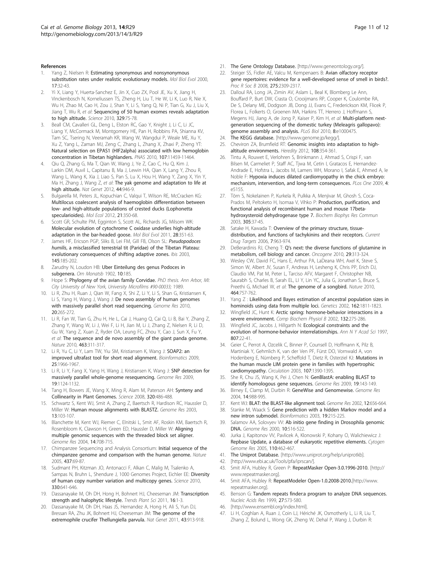#### <span id="page-10-0"></span>References

- 1. Yang Z, Nielsen R: Estimating synonymous and nonsynonymous substitution rates under realistic evolutionary models. Mol Biol Evol 2000, 17:32-43.
- 2. Yi X, Liang Y, Huerta-Sanchez E, Jin X, Cuo ZX, Pool JE, Xu X, Jiang H, Vinckenbosch N, Korneliussen TS, Zheng H, Liu T, He W, Li K, Luo R, Nie X, Wu H, Zhao M, Cao H, Zou J, Shan Y, Li S, Yang Q, Ni P, Tian G, Xu J, Liu X, Jiang T, Wu R, et al: Sequencing of 50 human exomes reveals adaptation to high altitude. Science 2010, 329:75-78.
- 3. Beall CM, Cavalleri GL, Deng L, Elston RC, Gao Y, Knight J, Li C, Li JC, Liang Y, McCormack M, Montgomery HE, Pan H, Robbins PA, Shianna KV, Tam SC, Tsering N, Veeramah KR, Wang W, Wangdui P, Weale ME, Xu Y, Xu Z, Yang L, Zaman MJ, Zeng C, Zhang L, Zhang X, Zhaxi P, Zheng YT: Natural selection on EPAS1 (HIF2alpha) associated with low hemoglobin concentration in Tibetan highlanders. PNAS 2010, 107:11459-11464.
- Qiu Q, Zhang G, Ma T, Qian W, Wang J, Ye Z, Cao C, Hu Q, Kim J, Larkin DM, Auvil L, Capitanu B, Ma J, Lewin HA, Qian X, Lang Y, Zhou R, Wang L, Wang K, Xia J, Liao S, Pan S, Lu X, Hou H, Wang Y, Zang X, Yin Y, Ma H, Zhang J, Wang Z, et al: The yak genome and adaptation to life at high altitude. Nat Genet 2012, 44:946-9.
- 5. Bulgarella M, Peters JL, Kopuchian C, Valqui T, Wilson RE, McCracken KG: Multilocus coalescent analysis of haemoglobin differentiation between low- and high-altitude populations of crested ducks (Lophonetta specularioides). Mol Ecol 2012, 21:350-68.
- 6. Scott GR, Schulte PM, Egginton S, Scott AL, Richards JG, Milsom WK: Molecular evolution of cytochrome C oxidase underlies high-altitude adaptation in the bar-headed goose. Mol Biol Evol 2011, 28:351-63.
- 7. James HF, Ericson PGP, Sliks B, Lei FM, Gill FB, Olson SL: Pseudopodoces humilis, a misclassified terrestrial tit (Paridae) of the Tibetan Plateau: evolutionary consequences of shifting adaptive zones. Ibis 2003, 145:185-202.
- 8. Zarudny N, Loudon HB: Uber Einteilung des genus Podoces in subgenera. Orn Monatsb 1902, 10:185.
- 9. Hope S: Phylogeny of the avian family Corvidae. PhD thesis. Ann Arbor, MI: City University of New York, University Microfilms #90-00033; 1989.
- 10. Li R, Zhu H, Ruan J, Qian W, Fang X, Shi Z, Li Y, Li S, Shan G, Kristiansen K, Li S, Yang H, Wang J, Wang J: De novo assembly of human genomes with massively parallel short read sequencing. Genome Res 2010, 20:265-272.
- 11. Li R, Fan W, Tian G, Zhu H, He L, Cai J, Huang Q, Cai Q, Li B, Bai Y, Zhang Z, Zhang Y, Wang W, Li J, Wei F, Li H, Jian M, Li J, Zhang Z, Nielsen R, Li D, Gu W, Yang Z, Xuan Z, Ryder OA, Leung FC, Zhou Y, Cao J, Sun X, Fu Y, et al: The sequence and de novo assembly of the giant panda genome. Nature 2010, 463:311-317.
- 12. Li R, Yu C, Li Y, Lam TW, Yiu SM, Kristiansen K, Wang J: SOAP2: an improved ultrafast tool for short read alignment. Bioinformatics 2009, 25:1966-1967.
- 13. Li R, Li Y, Fang X, Yang H, Wang J, Kristiansen K, Wang J: SNP detection for massively parallel whole-genome resequencing. Genome Res 2009, 19:1124-1132.
- 14. Tang H, Bowers JE, Wang X, Ming R, Alam M, Paterson AH: Synteny and Collinearity in Plant Genomes. Science 2008, 320:486-488.
- 15. Schwartz S, Kent WJ, Smit A, Zhang Z, Baertsch R, Hardison RC, Haussler D, Miller W: Human mouse alignments with BLASTZ. Genome Res 2003, 13:103-107.
- 16. Blanchette M, Kent WJ, Riemer C, Elnitski L, Smit AF, Roskin KM, Baertsch R, Rosenbloom K, Clawson H, Green ED, Haussler D, Miller W: Aligning multiple genomic sequences with the threaded block set aligner. Genome Res 2004, 14:708-715.
- 17. Chimpanzee Sequencing and Analysis Consortium: Initial sequence of the chimpanzee genome and comparison with the human genome. Nature 2005, 437:69-87.
- 18. Sudmant PH, Kitzman JO, Antonacci F, Alkan C, Malig M, Tsalenko A, Sampas N, Bruhn L, Shendure J, 1000 Genomes Project, Eichler EE: Diversity of human copy number variation and multicopy genes. Science 2010, 330:641-646.
- 19. Dassanayake M, Oh DH, Hong H, Bohnert HJ, Cheeseman JM: Transcription strength and halophytic lifestyle. Trends Plant Sci 2011, 16:1-3.
- 20. Dassanayake M, Oh DH, Haas JS, Hernandez A, Hong H, Ali S, Yun DJ, Bressan RA, Zhu JK, Bohnert HJ, Cheeseman JM: The genome of the extremophile crucifer Thellungiella parvula. Nat Genet 2011, 43:913-918.
- 21. The Gene Ontology Database. [\[http://www.geneontology.org/\]](http://www.geneontology.org/).
- 22. Steiger SS, Fidler AE, Valcu M, Kempenaers B: Avian olfactory receptor gene repertoires: evidence for a well-developed sense of smell in birds?. Proc R Soc B 2008, 275:2309-2317.
- 23. Dalloul RA, Long JA, Zimin AV, Aslam L, Beal K, Blomberg Le Ann, Bouffard P, Burt DW, Crasta O, Crooijmans RP, Cooper K, Coulombe RA, De S, Delany ME, Dodgson JB, Dong JJ, Evans C, Frederickson KM, Flicek P, Florea L, Folkerts O, Groenen MA, Harkins TT, Herrero J, Hoffmann S, Megens HJ, Jiang A, de Jong P, Kaiser P, Kim H, et al: Multi-platform nextgeneration sequencing of the domestic turkey (Meleagris gallopavo): genome assembly and analysis. PLoS Biol 2010, 8:e1000475.
- 24. The KEGG database. [\[http://www.genome.jp/kegg/\]](http://www.genome.jp/kegg/).
- 25. Cheviron ZA, Brumfield RT: Genomic insights into adaptation to highaltitude environments. Heredity 2012, 108:354-361.
- 26. Tintu A, Rouwet E, Verlohren S, Brinkmann J, Ahmad S, Crispi F, van Bilsen M, Carmeliet P, Staff AC, Tjwa M, Cetin I, Gratacos E, Hernandez-Andrade E, Hofstra L, Jacobs M, Lamers WH, Morano I, Safak E, Ahmed A, le Noble F: Hypoxia induces dilated cardiomyopathy in the chick embryo: mechanism, intervention, and long-term consequences. PLos One 2009, 4: e5155.
- 27. Törn S, Nokelainen P, Kurkela R, Pulkka A, Menjivar M, Ghosh S, Coca-Prados M, Peltoketo H, Isomaa V, Vihko P: Production, purification, and functional analysis of recombinant human and mouse 17betahydroxysteroid dehydrogenase type 7. Biochem Biophys Res Commun 2003, 305:37-45.
- 28. Satake H, Kawada T: Overview of the primary structure, tissuedistribution, and functions of tachykinins and their receptors. Current Drug Targets 2006, 7:963-974.
- 29. DeBerardinis RJ, Cheng T: Q's next: the diverse functions of glutamine in metabolism, cell biology and cancer. Oncogene 2010, 29:313-324.
- 30. Wesley CW, David FC, Hans E, Arthur PA, LaDeana WH, Axel K, Steve S, Simon W, Albert JV, Susan F, Andreas H, Lesheng K, Chris PP, Erich DJ, Claudio VM, Pat M, Peter L, Tarciso AFV, Margaret F, Christopher NB, Saurabh S, Charles B, Sarah EL, LI Y, Lin YC, Julia G, Jonathan S, Bruce S, Preethi G, Michael W, et al: The genome of a songbird. Nature 2010, 464:757-762.
- 31. Yang Z : Likelihood and Bayes estimation of ancestral population sizes in hominoids using data from multiple loci. Genetics 2002, 162:1811-1823.
- 32. Wingfield JC, Hunt K: Arctic spring: hormone-behavior interactions in a severe environment. Comp Biochem Physiol B 2002, 132:275-286.
- 33. Wingfield JC, Jacobs J, Hillgarth N: Ecological constraints and the evolution of hormone-behavior interrelationships. Ann N Y Acad Sci 1997, 807:22-41.
- 34. Geier C, Perrot A, Ozcelik C, Binner P, Counsell D, Hoffmann K, Pilz B, Martiniak Y, Gehmlich K, van der Ven PF, Fürst DO, Vornwald A, von Hodenberg E, Nürnberg P, Scheffold T, Dietz R, Osterziel KJ: Mutations in the human muscle LIM protein gene in families with hypertrophic cardiomyopathy. Circulation 2003, 107:1390-1395.
- 35. She R, Chu JS, Wang K, Pei J, Chen N: GenBlastA: enabling BLAST to identify homologous gene sequences. Genome Res 2009, 19:143-149.
- 36. Birney E, Clamp M, Durbin R: GeneWise and Genomewise. Genome Res 2004, 14:988-995.
- 37. Kent WJ: BLAT: the BLAST-like alignment tool. Genome Res 2002, 12:656-664. 38. Stanke M, Waack S: Gene prediction with a hidden Markov model and a
- new intron submodel. Bioinformatics 2003, 19:215-225. 39. Salamov AA, Solovyev W: Ab initio gene finding in Drosophila genomic
- DNA. Genome Res 2000, 10:516-522.
- 40. Jurka J, Kapitonov VV, Pavlicek A, Klonowski P, Kohany O, Walichiewicz J: Repbase Update, a database of eukaryotic repetitive elements. Cytogen Genome Res 2005, 110:462-467.
- 41. The Uniprot Database. [[http://www.uniprot.org/help/uniprotkb\]](http://www.uniprot.org/help/uniprotkb).
- 42. [<http://www.ebi.ac.uk/Tools/pfa/iprscan/>].
- 43. Smit AFA, Hubley R, Green P: RepeatMasker Open-3.0.1996-2010. [[http://](http://www.repeatmasker.org) [www.repeatmasker.org\]](http://www.repeatmasker.org).
- 44. Smit AFA, Hubley R: RepeatModeler Open-1.0.2008-2010.[\[http://www.](http://www.repeatmasker.org) [repeatmasker.org\]](http://www.repeatmasker.org).
- 45. Benson G: Tandem repeats finder:a program to analyze DNA sequences. Nucleic Acids Res 1999, 27:573-580.
- 46. [<http://www.ensembl.org/index.html>].
- 47. Li H, Coghlan A, Ruan J, Coin LJ, Hériché JK, Osmotherly L, Li R, Liu T, Zhang Z, Bolund L, Wong GK, Zheng W, Dehal P, Wang J, Durbin R: